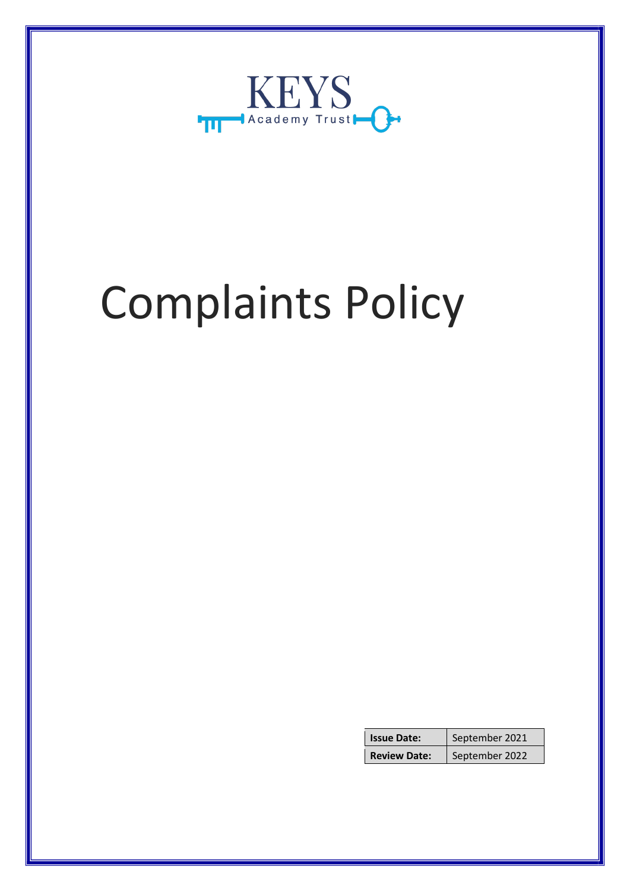

# Complaints Policy

| <b>Issue Date:</b>  | September 2021 |
|---------------------|----------------|
| <b>Review Date:</b> | September 2022 |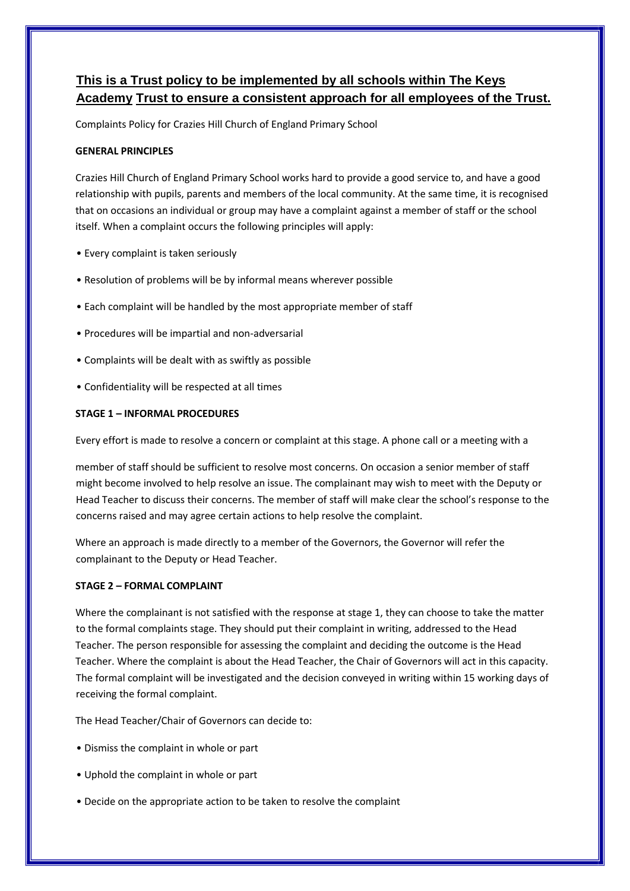# **This is a Trust policy to be implemented by all schools within The Keys Academy Trust to ensure a consistent approach for all employees of the Trust.**

Complaints Policy for Crazies Hill Church of England Primary School

## **GENERAL PRINCIPLES**

Crazies Hill Church of England Primary School works hard to provide a good service to, and have a good relationship with pupils, parents and members of the local community. At the same time, it is recognised that on occasions an individual or group may have a complaint against a member of staff or the school itself. When a complaint occurs the following principles will apply:

- Every complaint is taken seriously
- Resolution of problems will be by informal means wherever possible
- Each complaint will be handled by the most appropriate member of staff
- Procedures will be impartial and non-adversarial
- Complaints will be dealt with as swiftly as possible
- Confidentiality will be respected at all times

#### **STAGE 1 – INFORMAL PROCEDURES**

Every effort is made to resolve a concern or complaint at this stage. A phone call or a meeting with a

member of staff should be sufficient to resolve most concerns. On occasion a senior member of staff might become involved to help resolve an issue. The complainant may wish to meet with the Deputy or Head Teacher to discuss their concerns. The member of staff will make clear the school's response to the concerns raised and may agree certain actions to help resolve the complaint.

Where an approach is made directly to a member of the Governors, the Governor will refer the complainant to the Deputy or Head Teacher.

## **STAGE 2 – FORMAL COMPLAINT**

Where the complainant is not satisfied with the response at stage 1, they can choose to take the matter to the formal complaints stage. They should put their complaint in writing, addressed to the Head Teacher. The person responsible for assessing the complaint and deciding the outcome is the Head Teacher. Where the complaint is about the Head Teacher, the Chair of Governors will act in this capacity. The formal complaint will be investigated and the decision conveyed in writing within 15 working days of receiving the formal complaint.

The Head Teacher/Chair of Governors can decide to:

- Dismiss the complaint in whole or part
- Uphold the complaint in whole or part
- Decide on the appropriate action to be taken to resolve the complaint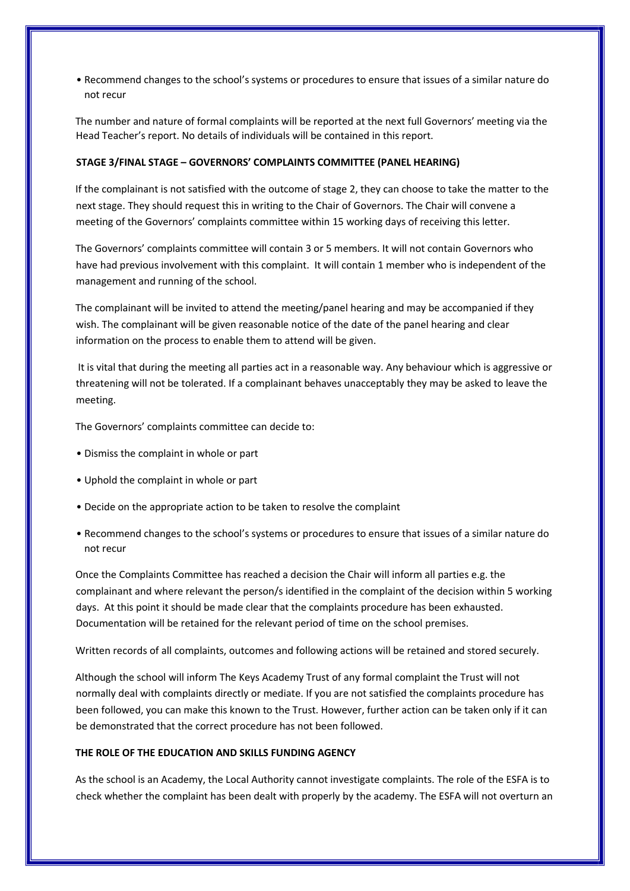• Recommend changes to the school's systems or procedures to ensure that issues of a similar nature do not recur

The number and nature of formal complaints will be reported at the next full Governors' meeting via the Head Teacher's report. No details of individuals will be contained in this report.

#### **STAGE 3/FINAL STAGE – GOVERNORS' COMPLAINTS COMMITTEE (PANEL HEARING)**

If the complainant is not satisfied with the outcome of stage 2, they can choose to take the matter to the next stage. They should request this in writing to the Chair of Governors. The Chair will convene a meeting of the Governors' complaints committee within 15 working days of receiving this letter.

The Governors' complaints committee will contain 3 or 5 members. It will not contain Governors who have had previous involvement with this complaint. It will contain 1 member who is independent of the management and running of the school.

The complainant will be invited to attend the meeting/panel hearing and may be accompanied if they wish. The complainant will be given reasonable notice of the date of the panel hearing and clear information on the process to enable them to attend will be given.

It is vital that during the meeting all parties act in a reasonable way. Any behaviour which is aggressive or threatening will not be tolerated. If a complainant behaves unacceptably they may be asked to leave the meeting.

The Governors' complaints committee can decide to:

- Dismiss the complaint in whole or part
- Uphold the complaint in whole or part
- Decide on the appropriate action to be taken to resolve the complaint
- Recommend changes to the school's systems or procedures to ensure that issues of a similar nature do not recur

Once the Complaints Committee has reached a decision the Chair will inform all parties e.g. the complainant and where relevant the person/s identified in the complaint of the decision within 5 working days. At this point it should be made clear that the complaints procedure has been exhausted. Documentation will be retained for the relevant period of time on the school premises.

Written records of all complaints, outcomes and following actions will be retained and stored securely.

Although the school will inform The Keys Academy Trust of any formal complaint the Trust will not normally deal with complaints directly or mediate. If you are not satisfied the complaints procedure has been followed, you can make this known to the Trust. However, further action can be taken only if it can be demonstrated that the correct procedure has not been followed.

#### **THE ROLE OF THE EDUCATION AND SKILLS FUNDING AGENCY**

As the school is an Academy, the Local Authority cannot investigate complaints. The role of the ESFA is to check whether the complaint has been dealt with properly by the academy. The ESFA will not overturn an